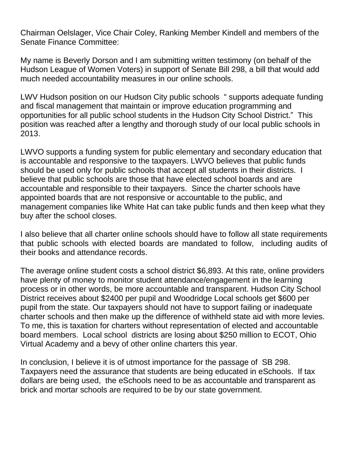Chairman Oelslager, Vice Chair Coley, Ranking Member Kindell and members of the Senate Finance Committee:

My name is Beverly Dorson and I am submitting written testimony (on behalf of the Hudson League of Women Voters) in support of Senate Bill 298, a bill that would add much needed accountability measures in our online schools.

LWV Hudson position on our Hudson City public schools " supports adequate funding and fiscal management that maintain or improve education programming and opportunities for all public school students in the Hudson City School District." This position was reached after a lengthy and thorough study of our local public schools in 2013.

LWVO supports a funding system for public elementary and secondary education that is accountable and responsive to the taxpayers. LWVO believes that public funds should be used only for public schools that accept all students in their districts. I believe that public schools are those that have elected school boards and are accountable and responsible to their taxpayers. Since the charter schools have appointed boards that are not responsive or accountable to the public, and management companies like White Hat can take public funds and then keep what they buy after the school closes.

I also believe that all charter online schools should have to follow all state requirements that public schools with elected boards are mandated to follow, including audits of their books and attendance records.

The average online student costs a school district \$6,893. At this rate, online providers have plenty of money to monitor student attendance/engagement in the learning process or in other words, be more accountable and transparent. Hudson City School District receives about \$2400 per pupil and Woodridge Local schools get \$600 per pupil from the state. Our taxpayers should not have to support failing or inadequate charter schools and then make up the difference of withheld state aid with more levies. To me, this is taxation for charters without representation of elected and accountable board members. Local school districts are losing about \$250 million to ECOT, Ohio Virtual Academy and a bevy of other online charters this year.

In conclusion, I believe it is of utmost importance for the passage of SB 298. Taxpayers need the assurance that students are being educated in eSchools. If tax dollars are being used, the eSchools need to be as accountable and transparent as brick and mortar schools are required to be by our state government.